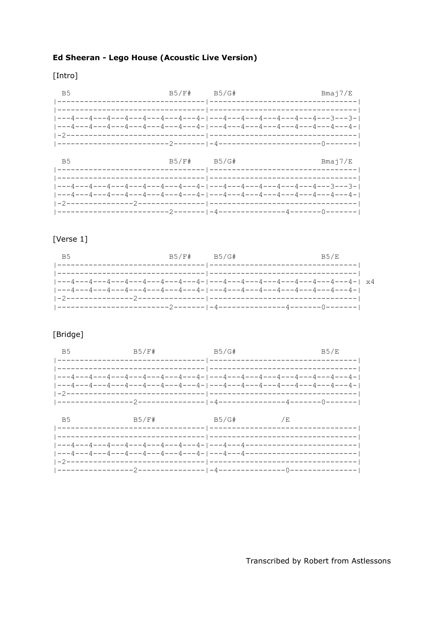# Ed Sheeran - Lego House (Acoustic Live Version)

#### [Intro]

| B5 B5/F# B5/G# B5/G# Bmaj7/E |  |                                    |
|------------------------------|--|------------------------------------|
|                              |  |                                    |
|                              |  |                                    |
| B5                           |  | $B5/F#$ $B5/G#$ $B3/F$ $B4$ $B5/F$ |
|                              |  |                                    |
|                              |  |                                    |

# [Verse 1]

| B5 |  | B5/F# B5/G# B5/E                                                            |
|----|--|-----------------------------------------------------------------------------|
|    |  |                                                                             |
|    |  | ---4---4---4---4---4---4---4---4- ---4---4---4---4---4---4---4---4---4-  x4 |
|    |  |                                                                             |
|    |  |                                                                             |
|    |  |                                                                             |

# [Bridge]

| $B5/E$ # $B5/E$ # $B5/E$ $B5/E$ |  |  |
|---------------------------------|--|--|
|                                 |  |  |
| $B5$ B5/F# B5/G# $/B$           |  |  |
|                                 |  |  |
|                                 |  |  |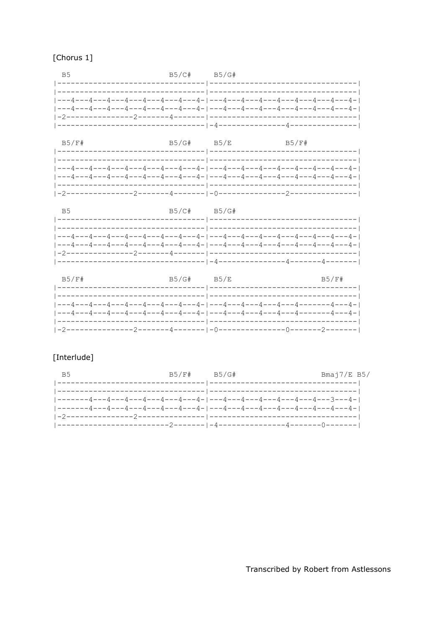| B5/C# B5/G#<br><b>B5</b>                                                     |                  |                                   |
|------------------------------------------------------------------------------|------------------|-----------------------------------|
| ---4---4---4---4---4---4---4---4---4---4---4---4---4---4---4---4---4---4-    |                  |                                   |
|                                                                              |                  |                                   |
| B5/F#                                                                        | B5/G# B5/E B5/F# |                                   |
| ___4___4___4___4___4___4___4___4___4___4_ ___4___4___4___4___4___4___4___4__ |                  | --------------------------------- |

| - B5 | B5/C# B5/G# |                                                                                 |
|------|-------------|---------------------------------------------------------------------------------|
|      |             |                                                                                 |
|      |             |                                                                                 |
|      |             | ---4---4---4---4---4---4---4---4- ---4---4---4---4---4---4---4---4---4---4---4- |
|      |             |                                                                                 |

| B5/F# | B5/G# B5/E | B5/F# |
|-------|------------|-------|
|       |            |       |
|       |            |       |
|       |            |       |
|       |            |       |
|       |            |       |

# [Interlude]

|                                                                         | B5/F# B5/G# | Bmaj7/E B5/ |
|-------------------------------------------------------------------------|-------------|-------------|
|                                                                         |             |             |
|                                                                         |             |             |
| -------4---4---4---4---4---4---4---4- ---4---4---4---4---4---4---3---4- |             |             |
|                                                                         |             |             |
|                                                                         |             |             |
|                                                                         |             |             |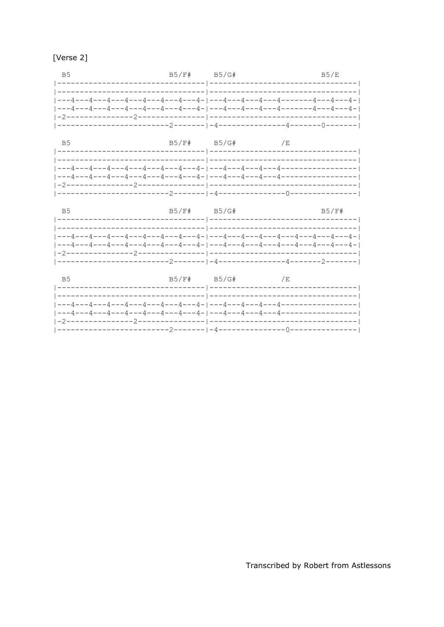| l Verse |  |
|---------|--|
|         |  |

| B5 B5/F# B5/G# B5/G B5/E |  |                |  |
|--------------------------|--|----------------|--|
|                          |  |                |  |
|                          |  |                |  |
|                          |  |                |  |
|                          |  |                |  |
|                          |  |                |  |
| B <sub>5</sub>           |  | B5/F# B5/G# /E |  |

| <b>B5</b> | B5/F# B5/G# | B5/F# |
|-----------|-------------|-------|
|           |             |       |
|           |             |       |
|           |             |       |

| B5 | B5/F#   B5/G#       /E |  |  |
|----|------------------------|--|--|
|    |                        |  |  |
|    |                        |  |  |
|    |                        |  |  |
|    |                        |  |  |
|    |                        |  |  |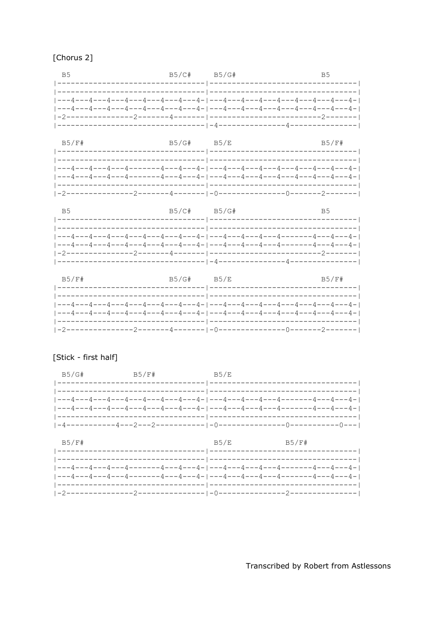|  | [Chorus 2] |  |
|--|------------|--|
|--|------------|--|

| $B5/C$ # $B5/G$ #<br><b>B5</b>                                            |  | B <sub>5</sub> |
|---------------------------------------------------------------------------|--|----------------|
|                                                                           |  |                |
|                                                                           |  |                |
| ---4---4---4---4---4---4---4---4- ---4- ---4---4---4---4---4---4---4---4- |  |                |
|                                                                           |  |                |
|                                                                           |  |                |

| B5/F#                                                                                       | B5/G# B5/E | B5/F# |
|---------------------------------------------------------------------------------------------|------------|-------|
|                                                                                             |            |       |
|                                                                                             |            |       |
| ---4 ---4 ---4 ----4 -------4 ----4 ---4 -  ---4 ---4 ---4 ---4 ---4 ----4 ---4 ---4 ---4 - |            |       |
| ---4 ---4 ---4 ----4 -------4 ----4 ---4 -  ---4 ---4 ---4 ----4 ----4 ---4 ---4 ---4 -     |            |       |
|                                                                                             |            |       |
|                                                                                             |            |       |

| - B5 | B5/C# B5/G# | <b>B5</b> |
|------|-------------|-----------|
|      |             |           |
|      |             |           |
|      |             |           |
|      |             |           |

| B5/F# | $B5/G#$ $B5/E$ | B5/F# |
|-------|----------------|-------|
|       |                |       |
|       |                |       |
|       |                |       |
|       |                |       |
|       |                |       |

#### [Stick - first half]

| $B5/G#$ $B5/F#$ $B5/E$ |                                                            |  |
|------------------------|------------------------------------------------------------|--|
|                        |                                                            |  |
|                        |                                                            |  |
|                        |                                                            |  |
|                        |                                                            |  |
|                        | $ -4--------4---2---2--------- -0-----0-----0-----0-----0$ |  |

| B5/F# | B5/E B5/F# |  |
|-------|------------|--|
|       |            |  |
|       |            |  |
|       |            |  |
|       |            |  |
|       |            |  |